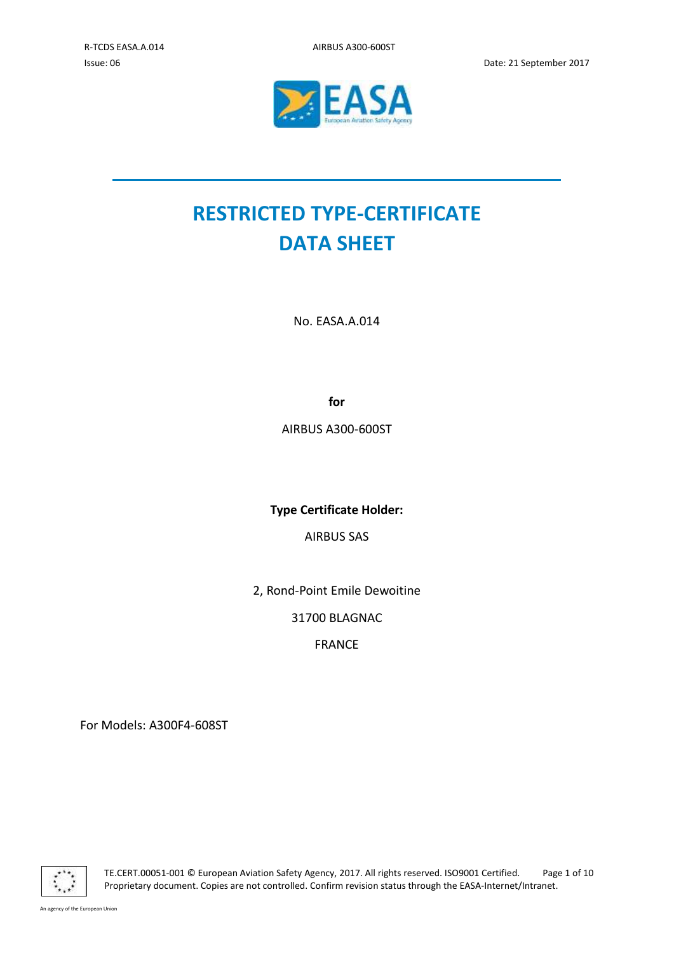Issue: 06 Date: 21 September 2017



# **RESTRICTED TYPE-CERTIFICATE DATA SHEET**

No. EASA.A.014

**for**

AIRBUS A300-600ST

**Type Certificate Holder:**

AIRBUS SAS

2, Rond-Point Emile Dewoitine

31700 BLAGNAC

FRANCE

For Models: A300F4-608ST



TE.CERT.00051-001 © European Aviation Safety Agency, 2017. All rights reserved. ISO9001 Certified. Page 1 of 10 Proprietary document. Copies are not controlled. Confirm revision status through the EASA-Internet/Intranet.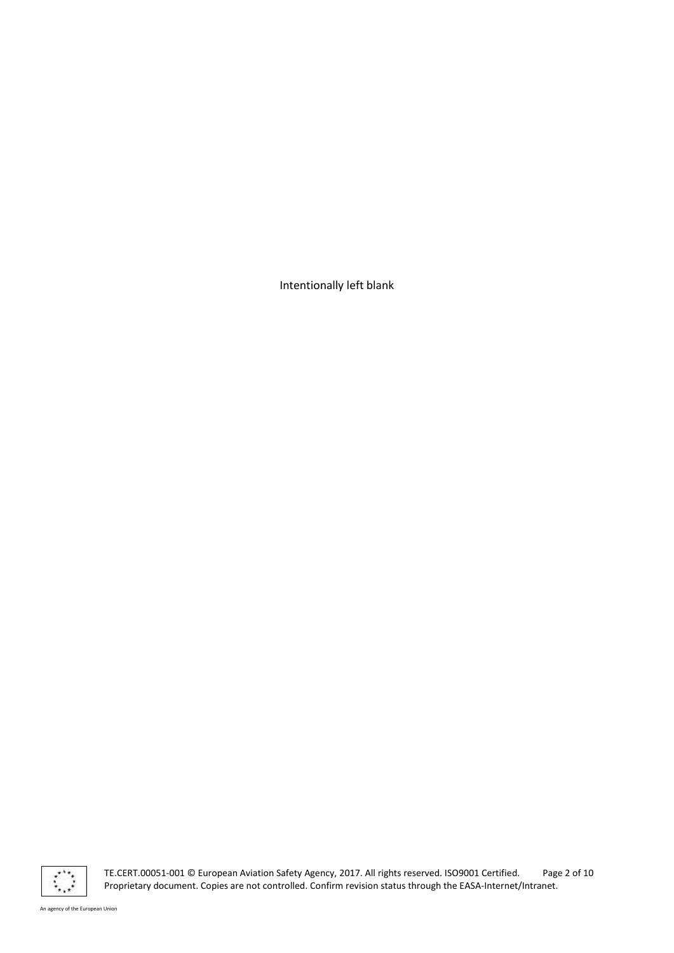Intentionally left blank



TE.CERT.00051-001 © European Aviation Safety Agency, 2017. All rights reserved. ISO9001 Certified. Page 2 of 10 Proprietary document. Copies are not controlled. Confirm revision status through the EASA-Internet/Intranet.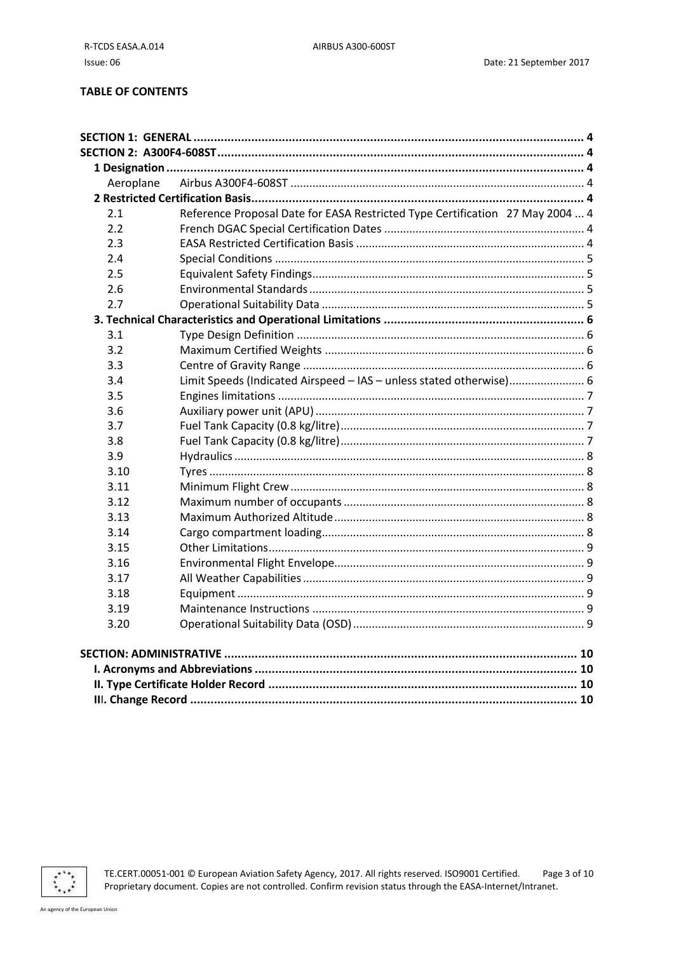# **TABLE OF CONTENTS**

| Aeroplane                  |                                                                               |    |
|----------------------------|-------------------------------------------------------------------------------|----|
|                            |                                                                               |    |
| 2.1                        | Reference Proposal Date for EASA Restricted Type Certification 27 May 2004  4 |    |
| 2.2                        |                                                                               |    |
| 2.3                        |                                                                               |    |
| 2.4                        |                                                                               |    |
| 2.5                        |                                                                               |    |
| 2.6                        |                                                                               |    |
| 2.7                        |                                                                               |    |
|                            |                                                                               |    |
| 3.1                        |                                                                               |    |
| 3.2                        |                                                                               |    |
| 3.3                        |                                                                               |    |
| 3.4                        | Limit Speeds (Indicated Airspeed - IAS - unless stated otherwise) 6           |    |
| 3.5                        |                                                                               |    |
| 3.6                        |                                                                               |    |
| 3.7                        |                                                                               |    |
| 3.8                        |                                                                               |    |
| 3.9                        |                                                                               |    |
| 3.10                       |                                                                               |    |
| 3.11                       |                                                                               |    |
| 3.12                       |                                                                               |    |
| 3.13                       |                                                                               |    |
| 3.14                       |                                                                               |    |
| 3.15                       |                                                                               |    |
| 3.16                       |                                                                               |    |
| 3.17                       |                                                                               |    |
| 3.18                       |                                                                               |    |
| 3.19                       |                                                                               |    |
| 3.20                       |                                                                               |    |
| CECTION · A DAAINICTDATIVE |                                                                               | 10 |



TE.CERT.00051-001 © European Aviation Safety Agency, 2017. All rights reserved. ISO9001 Certified. Page 3 of 10 Proprietary document. Copies are not controlled. Confirm revision status through the EASA-Internet/Intranet.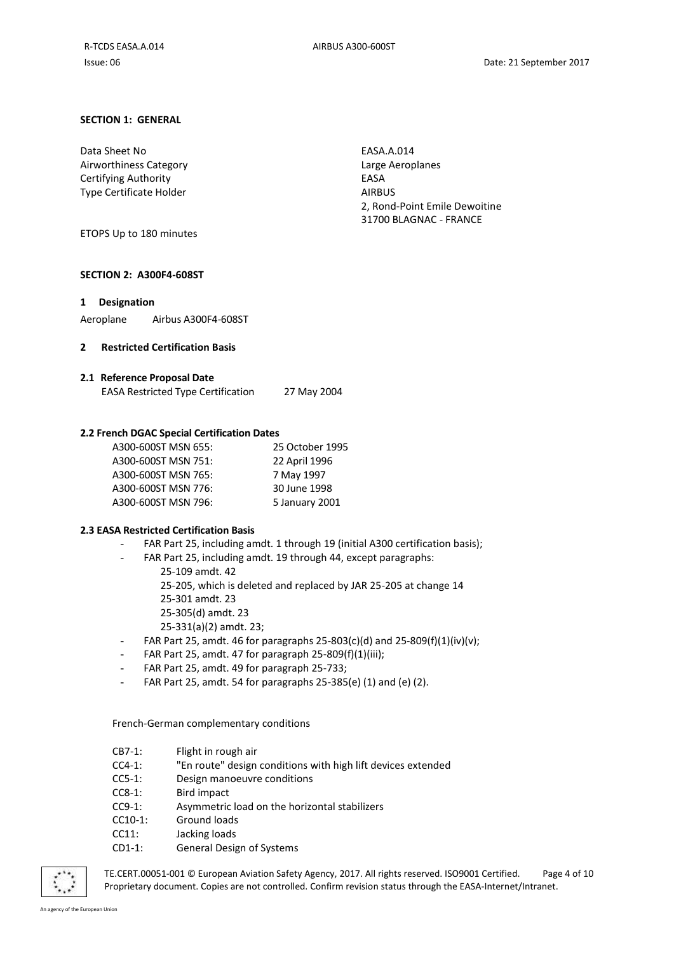# <span id="page-3-0"></span>**SECTION 1: GENERAL**

Data Sheet No EASA.A.014 Airworthiness Category **Lack and Accepts** Large Aeroplanes Certifying Authority<br>
Type Certificate Holder<br>
AIRBUS Type Certificate Holder

2, Rond-Point Emile Dewoitine 31700 BLAGNAC - FRANCE

ETOPS Up to 180 minutes

## <span id="page-3-1"></span>**SECTION 2: A300F4-608ST**

## <span id="page-3-2"></span>**1 Designation**

<span id="page-3-4"></span><span id="page-3-3"></span>Aeroplane Airbus A300F4-608ST

# **2 Restricted Certification Basis**

#### <span id="page-3-5"></span>**2.1 Reference Proposal Date**

| <b>EASA Restricted Type Certification</b> | 27 May 2004 |
|-------------------------------------------|-------------|

## <span id="page-3-6"></span>**2.2 French DGAC Special Certification Dates**

| A300-600ST MSN 655: | 25 October 1995 |
|---------------------|-----------------|
| A300-600ST MSN 751: | 22 April 1996   |
| A300-600ST MSN 765: | 7 May 1997      |
| A300-600ST MSN 776: | 30 June 1998    |
| A300-600ST MSN 796: | 5 January 2001  |

#### <span id="page-3-7"></span>**2.3 EASA Restricted Certification Basis**

- FAR Part 25, including amdt. 1 through 19 (initial A300 certification basis);
- FAR Part 25, including amdt. 19 through 44, except paragraphs:
	- 25-109 amdt. 42
	- 25-205, which is deleted and replaced by JAR 25-205 at change 14
	- 25-301 amdt. 23
	- 25-305(d) amdt. 23
	- 25-331(a)(2) amdt. 23;
- FAR Part 25, amdt. 46 for paragraphs 25-803(c)(d) and 25-809(f)(1)(iv)(v);
- FAR Part 25, amdt. 47 for paragraph 25-809 $(f)(1)(iii)$ ;
- FAR Part 25, amdt. 49 for paragraph 25-733;
- FAR Part 25, amdt. 54 for paragraphs 25-385(e) (1) and (e) (2).

French-German complementary conditions

- CB7-1: Flight in rough air
- CC4-1: "En route" design conditions with high lift devices extended
- CC5-1: Design manoeuvre conditions
- CC8-1: Bird impact
- CC9-1: Asymmetric load on the horizontal stabilizers
- CC10-1: Ground loads
- CC11: Jacking loads
- CD1-1: General Design of Systems



TE.CERT.00051-001 © European Aviation Safety Agency, 2017. All rights reserved. ISO9001 Certified. Page 4 of 10 Proprietary document. Copies are not controlled. Confirm revision status through the EASA-Internet/Intranet.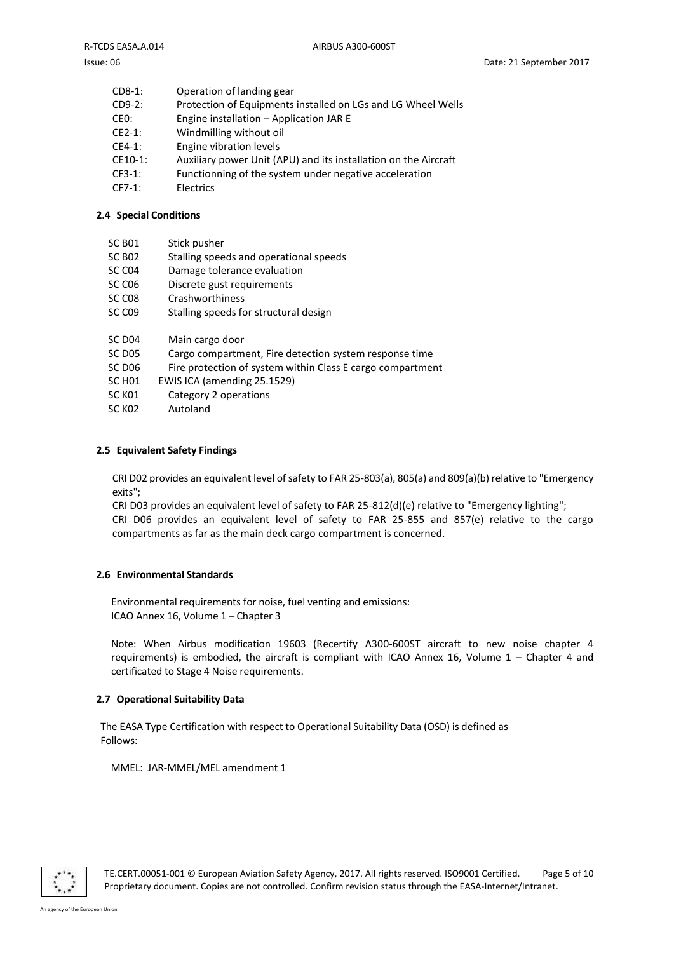| $CD8-1$ : | Operation of landing gear                                       |
|-----------|-----------------------------------------------------------------|
| $CD9-2:$  | Protection of Equipments installed on LGs and LG Wheel Wells    |
| CEO:      | Engine installation - Application JAR E                         |
| $CE2-1$ : | Windmilling without oil                                         |
| $CE4-1:$  | Engine vibration levels                                         |
| CE10-1:   | Auxiliary power Unit (APU) and its installation on the Aircraft |
| $CF3-1:$  | Functionning of the system under negative acceleration          |

CF7-1: Electrics

## <span id="page-4-0"></span>**2.4 Special Conditions**

- SC B02 Stalling speeds and operational speeds
- SC C04 Damage tolerance evaluation
- SC C06 Discrete gust requirements
- SC C08 Crashworthiness
- SC C09 Stalling speeds for structural design
- SC D04 Main cargo door
- SC D05 Cargo compartment, Fire detection system response time
- SC D06 Fire protection of system within Class E cargo compartment
- SC H01 EWIS ICA (amending 25.1529)
- SC K01 Category 2 operations
- SC K02 Autoland

## <span id="page-4-1"></span>**2.5 Equivalent Safety Findings**

CRI D02 provides an equivalent level of safety to FAR 25-803(a), 805(a) and 809(a)(b) relative to "Emergency exits";

CRI D03 provides an equivalent level of safety to FAR 25-812(d)(e) relative to "Emergency lighting"; CRI D06 provides an equivalent level of safety to FAR 25-855 and 857(e) relative to the cargo compartments as far as the main deck cargo compartment is concerned.

## <span id="page-4-2"></span>**2.6 Environmental Standards**

Environmental requirements for noise, fuel venting and emissions: ICAO Annex 16, Volume 1 – Chapter 3

Note: When Airbus modification 19603 (Recertify A300-600ST aircraft to new noise chapter 4 requirements) is embodied, the aircraft is compliant with ICAO Annex 16, Volume 1 – Chapter 4 and certificated to Stage 4 Noise requirements.

## **2.7 Operational Suitability Data**

The EASA Type Certification with respect to Operational Suitability Data (OSD) is defined as Follows:

MMEL: JAR-MMEL/MEL amendment 1

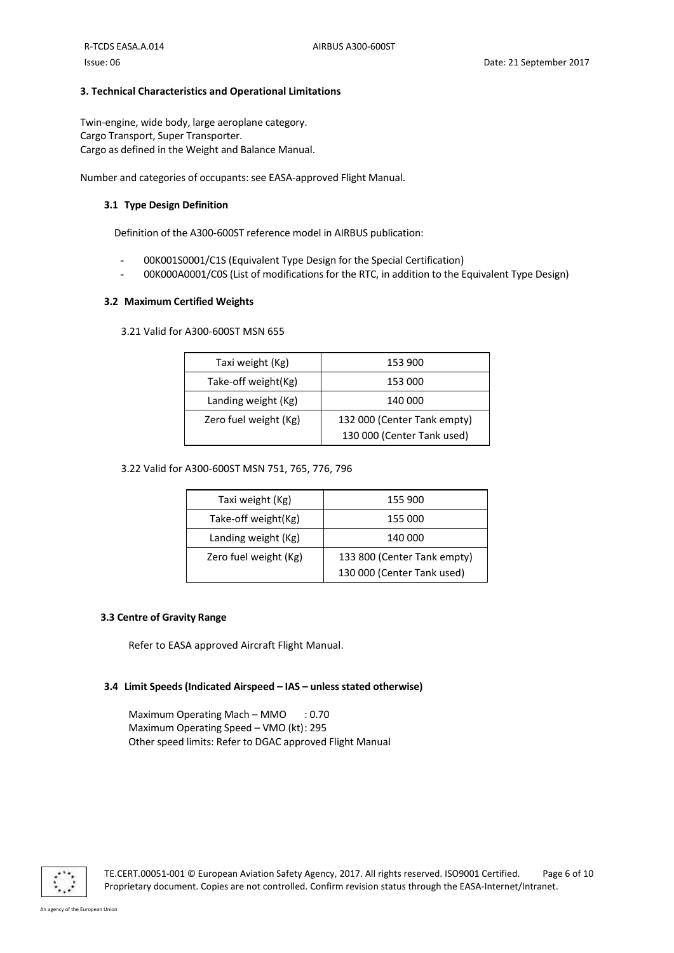## <span id="page-5-0"></span>**3. Technical Characteristics and Operational Limitations**

Twin-engine, wide body, large aeroplane category. Cargo Transport, Super Transporter. Cargo as defined in the Weight and Balance Manual.

Number and categories of occupants: see EASA-approved Flight Manual.

## <span id="page-5-1"></span>**3.1 Type Design Definition**

Definition of the A300-600ST reference model in AIRBUS publication:

- 00K001S0001/C1S (Equivalent Type Design for the Special Certification)
- 00K000A0001/C0S (List of modifications for the RTC, in addition to the Equivalent Type Design)

## <span id="page-5-2"></span>**3.2 Maximum Certified Weights**

3.21 Valid for A300-600ST MSN 655

| Taxi weight (Kg)      | 153 900                     |  |
|-----------------------|-----------------------------|--|
| Take-off weight(Kg)   | 153 000                     |  |
| Landing weight (Kg)   | 140 000                     |  |
| Zero fuel weight (Kg) | 132 000 (Center Tank empty) |  |
|                       | 130 000 (Center Tank used)  |  |

3.22 Valid for A300-600ST MSN 751, 765, 776, 796

| Taxi weight (Kg)      | 155 900                     |  |
|-----------------------|-----------------------------|--|
| Take-off weight(Kg)   | 155 000                     |  |
| Landing weight (Kg)   | 140 000                     |  |
| Zero fuel weight (Kg) | 133 800 (Center Tank empty) |  |
|                       | 130 000 (Center Tank used)  |  |

## <span id="page-5-3"></span>**3.3 Centre of Gravity Range**

Refer to EASA approved Aircraft Flight Manual.

## <span id="page-5-4"></span>**3.4 Limit Speeds (Indicated Airspeed – IAS – unless stated otherwise)**

Maximum Operating Mach – MMO : 0.70 Maximum Operating Speed – VMO (kt): 295 Other speed limits: Refer to DGAC approved Flight Manual



TE.CERT.00051-001 © European Aviation Safety Agency, 2017. All rights reserved. ISO9001 Certified. Page 6 of 10 Proprietary document. Copies are not controlled. Confirm revision status through the EASA-Internet/Intranet.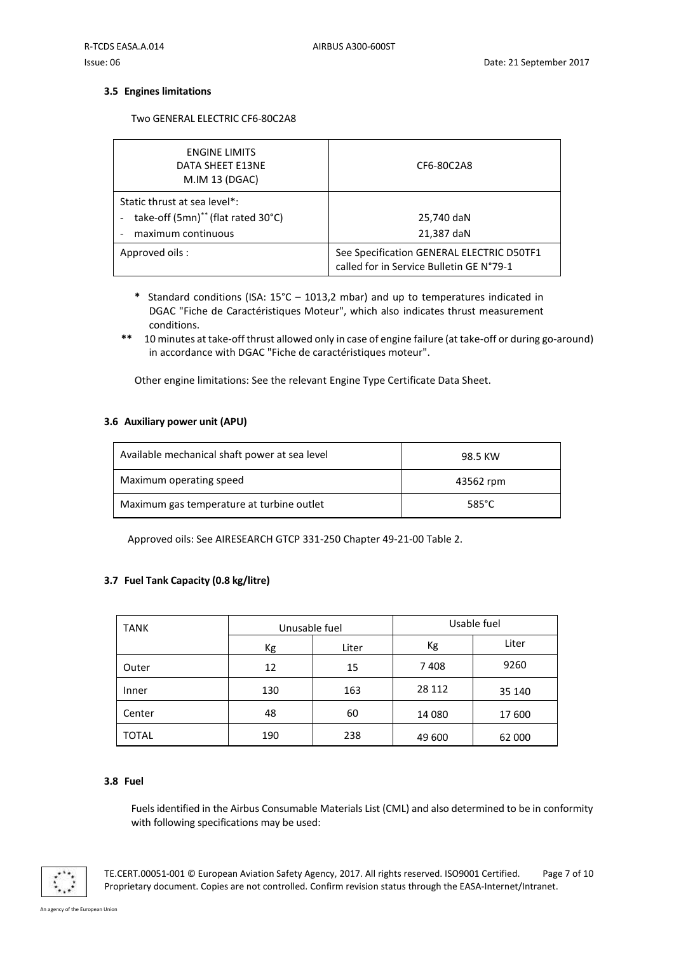# <span id="page-6-0"></span>**3.5 Engines limitations**

Two GENERAL ELECTRIC CF6-80C2A8

| <b>ENGINE LIMITS</b><br>DATA SHEET E13NE<br>M.IM 13 (DGAC)                                           | CF6-80C2A8                                                                            |  |
|------------------------------------------------------------------------------------------------------|---------------------------------------------------------------------------------------|--|
| Static thrust at sea level*:<br>take-off (5mn) <sup>**</sup> (flat rated 30°C)<br>maximum continuous | 25,740 daN<br>21,387 daN                                                              |  |
| Approved oils:                                                                                       | See Specification GENERAL ELECTRIC D50TF1<br>called for in Service Bulletin GE N°79-1 |  |

- **\*** Standard conditions (ISA: 15°C 1013,2 mbar) and up to temperatures indicated in DGAC "Fiche de Caractéristiques Moteur", which also indicates thrust measurement conditions.
- **\*\*** 10 minutes at take-off thrust allowed only in case of engine failure (at take-off or during go-around) in accordance with DGAC "Fiche de caractéristiques moteur".

Other engine limitations: See the relevant Engine Type Certificate Data Sheet.

## <span id="page-6-1"></span>**3.6 Auxiliary power unit (APU)**

| Available mechanical shaft power at sea level | 98.5 KW   |
|-----------------------------------------------|-----------|
| Maximum operating speed                       | 43562 rpm |
| Maximum gas temperature at turbine outlet     | 585°C     |

Approved oils: See AIRESEARCH GTCP 331-250 Chapter 49-21-00 Table 2.

# <span id="page-6-2"></span>**3.7 Fuel Tank Capacity (0.8 kg/litre)**

| <b>TANK</b>  | Unusable fuel |       | Usable fuel |        |
|--------------|---------------|-------|-------------|--------|
|              | Кg            | Liter | Кg          | Liter  |
| Outer        | 12            | 15    | 7408        | 9260   |
| Inner        | 130           | 163   | 28 112      | 35 140 |
| Center       | 48            | 60    | 14 080      | 17 600 |
| <b>TOTAL</b> | 190           | 238   | 49 600      | 62 000 |

## <span id="page-6-3"></span>**3.8 Fuel**

Fuels identified in the Airbus Consumable Materials List (CML) and also determined to be in conformity with following specifications may be used:



TE.CERT.00051-001 © European Aviation Safety Agency, 2017. All rights reserved. ISO9001 Certified. Page 7 of 10 Proprietary document. Copies are not controlled. Confirm revision status through the EASA-Internet/Intranet.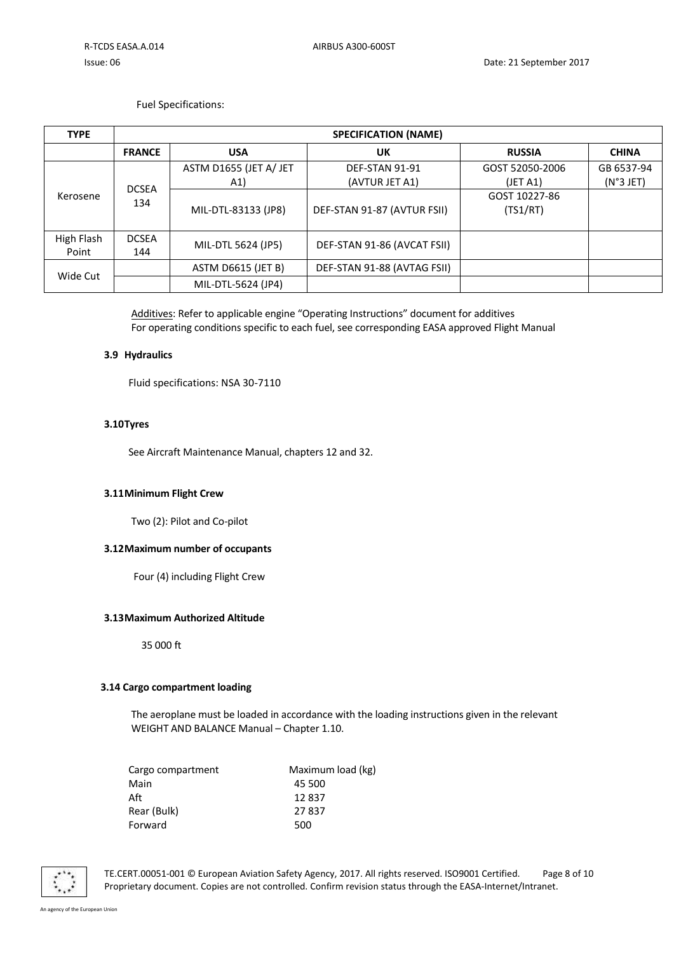Fuel Specifications:

| <b>TYPE</b>                     | <b>SPECIFICATION (NAME)</b> |                               |                                         |                             |                           |
|---------------------------------|-----------------------------|-------------------------------|-----------------------------------------|-----------------------------|---------------------------|
|                                 | <b>FRANCE</b>               | <b>USA</b>                    | UK                                      | <b>RUSSIA</b>               | <b>CHINA</b>              |
| <b>DCSEA</b><br>Kerosene<br>134 |                             | ASTM D1655 (JET A/ JET<br>A1) | <b>DEF-STAN 91-91</b><br>(AVTUR JET A1) | GOST 52050-2006<br>(JET A1) | GB 6537-94<br>$(N°3$ JET) |
|                                 |                             | MIL-DTL-83133 (JP8)           | DEF-STAN 91-87 (AVTUR FSII)             | GOST 10227-86<br>(TS1/RT)   |                           |
| High Flash<br>Point             | <b>DCSEA</b><br>144         | MIL-DTL 5624 (JP5)            | DEF-STAN 91-86 (AVCAT FSII)             |                             |                           |
| Wide Cut                        |                             | ASTM D6615 (JET B)            | DEF-STAN 91-88 (AVTAG FSII)             |                             |                           |
|                                 |                             | MIL-DTL-5624 (JP4)            |                                         |                             |                           |

Additives: Refer to applicable engine "Operating Instructions" document for additives For operating conditions specific to each fuel, see corresponding EASA approved Flight Manual

## <span id="page-7-0"></span>**3.9 Hydraulics**

Fluid specifications: NSA 30-7110

## <span id="page-7-1"></span>**3.10Tyres**

See Aircraft Maintenance Manual, chapters 12 and 32.

## <span id="page-7-2"></span>**3.11Minimum Flight Crew**

Two (2): Pilot and Co-pilot

#### <span id="page-7-3"></span>**3.12Maximum number of occupants**

Four (4) including Flight Crew

# <span id="page-7-4"></span>**3.13Maximum Authorized Altitude**

35 000 ft

## <span id="page-7-5"></span>**3.14 Cargo compartment loading**

The aeroplane must be loaded in accordance with the loading instructions given in the relevant WEIGHT AND BALANCE Manual – Chapter 1.10.

| Cargo compartment | Maximum load (kg) |
|-------------------|-------------------|
| Main              | 45 500            |
| Aft               | 12837             |
| Rear (Bulk)       | 27837             |
| Forward           | 500               |



TE.CERT.00051-001 © European Aviation Safety Agency, 2017. All rights reserved. ISO9001 Certified. Page 8 of 10 Proprietary document. Copies are not controlled. Confirm revision status through the EASA-Internet/Intranet.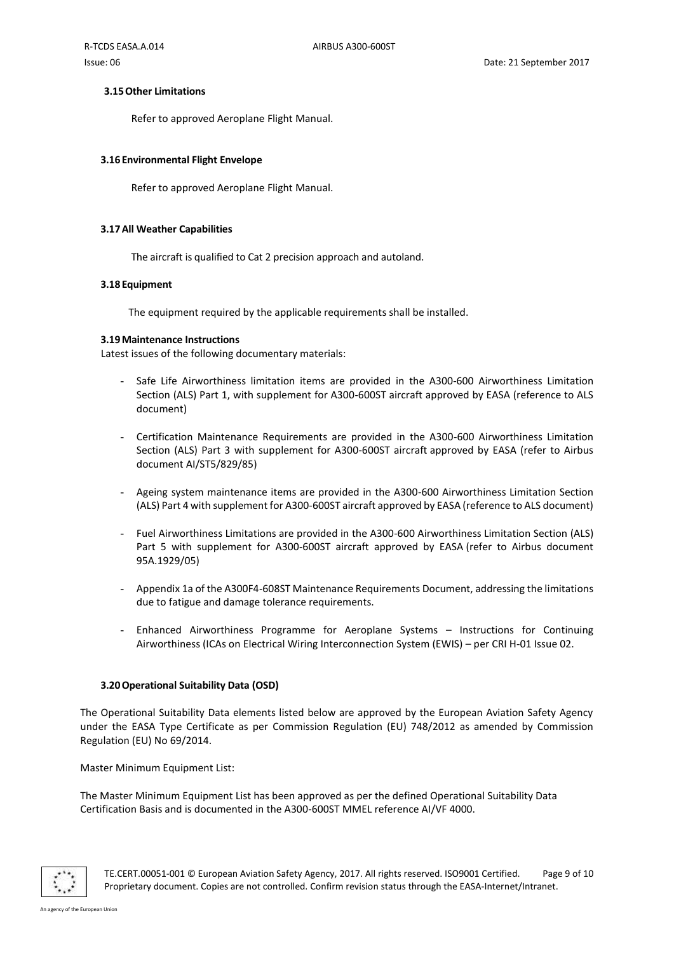## <span id="page-8-0"></span>**3.15Other Limitations**

Refer to approved Aeroplane Flight Manual.

#### <span id="page-8-1"></span>**3.16Environmental Flight Envelope**

Refer to approved Aeroplane Flight Manual.

#### <span id="page-8-2"></span>**3.17All Weather Capabilities**

The aircraft is qualified to Cat 2 precision approach and autoland.

#### <span id="page-8-3"></span>**3.18Equipment**

The equipment required by the applicable requirements shall be installed.

## <span id="page-8-4"></span>**3.19Maintenance Instructions**

Latest issues of the following documentary materials:

- Safe Life Airworthiness limitation items are provided in the A300-600 Airworthiness Limitation Section (ALS) Part 1, with supplement for A300-600ST aircraft approved by EASA (reference to ALS document)
- Certification Maintenance Requirements are provided in the A300-600 Airworthiness Limitation Section (ALS) Part 3 with supplement for A300-600ST aircraft approved by EASA (refer to Airbus document AI/ST5/829/85)
- Ageing system maintenance items are provided in the A300-600 Airworthiness Limitation Section (ALS) Part 4 with supplement for A300-600ST aircraft approved by EASA (reference to ALS document)
- Fuel Airworthiness Limitations are provided in the A300-600 Airworthiness Limitation Section (ALS) Part 5 with supplement for A300-600ST aircraft approved by EASA (refer to Airbus document 95A.1929/05)
- Appendix 1a of the A300F4-608ST Maintenance Requirements Document, addressing the limitations due to fatigue and damage tolerance requirements.
- Enhanced Airworthiness Programme for Aeroplane Systems Instructions for Continuing Airworthiness (ICAs on Electrical Wiring Interconnection System (EWIS) – per CRI H-01 Issue 02.

#### <span id="page-8-5"></span>**3.20Operational Suitability Data (OSD)**

The Operational Suitability Data elements listed below are approved by the European Aviation Safety Agency under the EASA Type Certificate as per Commission Regulation (EU) 748/2012 as amended by Commission Regulation (EU) No 69/2014.

Master Minimum Equipment List:

The Master Minimum Equipment List has been approved as per the defined Operational Suitability Data Certification Basis and is documented in the A300-600ST MMEL reference AI/VF 4000.